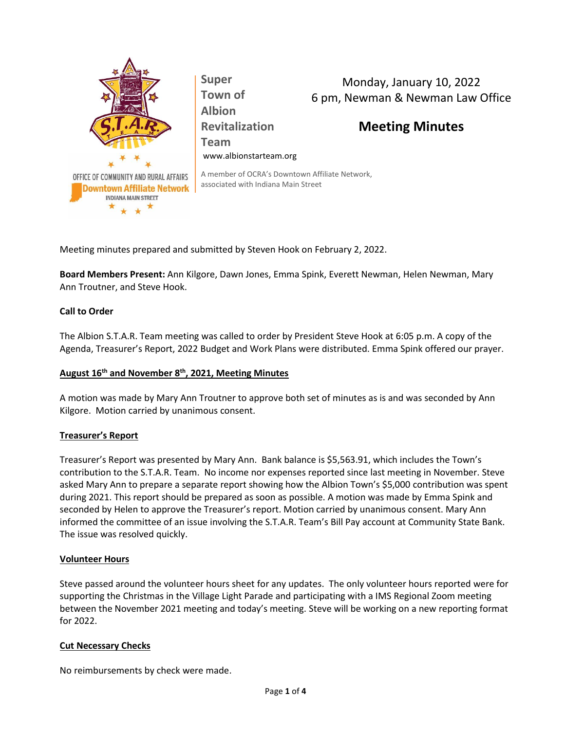

Monday, January 10, 2022 6 pm, Newman & Newman Law Office

# **Meeting Minutes**

A member of OCRA's Downtown Affiliate Network, associated with Indiana Main Street

Meeting minutes prepared and submitted by Steven Hook on February 2, 2022.

**Super**

**Albion**

**Revitalization**

www.albionstarteam.org

**Board Members Present:** Ann Kilgore, Dawn Jones, Emma Spink, Everett Newman, Helen Newman, Mary Ann Troutner, and Steve Hook.

# **Call to Order**

The Albion S.T.A.R. Team meeting was called to order by President Steve Hook at 6:05 p.m. A copy of the Agenda, Treasurer's Report, 2022 Budget and Work Plans were distributed. Emma Spink offered our prayer.

## **August 16th and November 8th , 2021, Meeting Minutes**

A motion was made by Mary Ann Troutner to approve both set of minutes as is and was seconded by Ann Kilgore. Motion carried by unanimous consent.

## **Treasurer's Report**

Treasurer's Report was presented by Mary Ann. Bank balance is \$5,563.91, which includes the Town's contribution to the S.T.A.R. Team. No income nor expenses reported since last meeting in November. Steve asked Mary Ann to prepare a separate report showing how the Albion Town's \$5,000 contribution was spent during 2021. This report should be prepared as soon as possible. A motion was made by Emma Spink and seconded by Helen to approve the Treasurer's report. Motion carried by unanimous consent. Mary Ann informed the committee of an issue involving the S.T.A.R. Team's Bill Pay account at Community State Bank. The issue was resolved quickly.

#### **Volunteer Hours**

Steve passed around the volunteer hours sheet for any updates. The only volunteer hours reported were for supporting the Christmas in the Village Light Parade and participating with a IMS Regional Zoom meeting between the November 2021 meeting and today's meeting. Steve will be working on a new reporting format for 2022.

## **Cut Necessary Checks**

No reimbursements by check were made.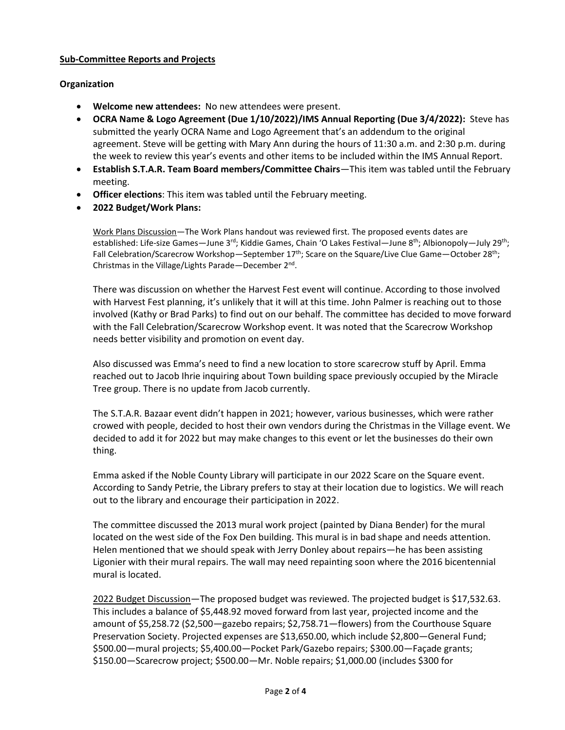# **Sub-Committee Reports and Projects**

# **Organization**

- **Welcome new attendees:** No new attendees were present.
- **OCRA Name & Logo Agreement (Due 1/10/2022)/IMS Annual Reporting (Due 3/4/2022):** Steve has submitted the yearly OCRA Name and Logo Agreement that's an addendum to the original agreement. Steve will be getting with Mary Ann during the hours of 11:30 a.m. and 2:30 p.m. during the week to review this year's events and other items to be included within the IMS Annual Report.
- **Establish S.T.A.R. Team Board members/Committee Chairs**—This item was tabled until the February meeting.
- **Officer elections**: This item was tabled until the February meeting.
- **2022 Budget/Work Plans:**

Work Plans Discussion—The Work Plans handout was reviewed first. The proposed events dates are established: Life-size Games—June 3<sup>rd</sup>; Kiddie Games, Chain 'O Lakes Festival—June 8<sup>th</sup>; Albionopoly—July 29<sup>th</sup>; Fall Celebration/Scarecrow Workshop—September 17<sup>th</sup>; Scare on the Square/Live Clue Game—October 28<sup>th</sup>; Christmas in the Village/Lights Parade-December 2<sup>nd</sup>.

There was discussion on whether the Harvest Fest event will continue. According to those involved with Harvest Fest planning, it's unlikely that it will at this time. John Palmer is reaching out to those involved (Kathy or Brad Parks) to find out on our behalf. The committee has decided to move forward with the Fall Celebration/Scarecrow Workshop event. It was noted that the Scarecrow Workshop needs better visibility and promotion on event day.

Also discussed was Emma's need to find a new location to store scarecrow stuff by April. Emma reached out to Jacob Ihrie inquiring about Town building space previously occupied by the Miracle Tree group. There is no update from Jacob currently.

The S.T.A.R. Bazaar event didn't happen in 2021; however, various businesses, which were rather crowed with people, decided to host their own vendors during the Christmas in the Village event. We decided to add it for 2022 but may make changes to this event or let the businesses do their own thing.

Emma asked if the Noble County Library will participate in our 2022 Scare on the Square event. According to Sandy Petrie, the Library prefers to stay at their location due to logistics. We will reach out to the library and encourage their participation in 2022.

The committee discussed the 2013 mural work project (painted by Diana Bender) for the mural located on the west side of the Fox Den building. This mural is in bad shape and needs attention. Helen mentioned that we should speak with Jerry Donley about repairs—he has been assisting Ligonier with their mural repairs. The wall may need repainting soon where the 2016 bicentennial mural is located.

2022 Budget Discussion—The proposed budget was reviewed. The projected budget is \$17,532.63. This includes a balance of \$5,448.92 moved forward from last year, projected income and the amount of \$5,258.72 (\$2,500—gazebo repairs; \$2,758.71—flowers) from the Courthouse Square Preservation Society. Projected expenses are \$13,650.00, which include \$2,800—General Fund; \$500.00—mural projects; \$5,400.00—Pocket Park/Gazebo repairs; \$300.00—Façade grants; \$150.00—Scarecrow project; \$500.00—Mr. Noble repairs; \$1,000.00 (includes \$300 for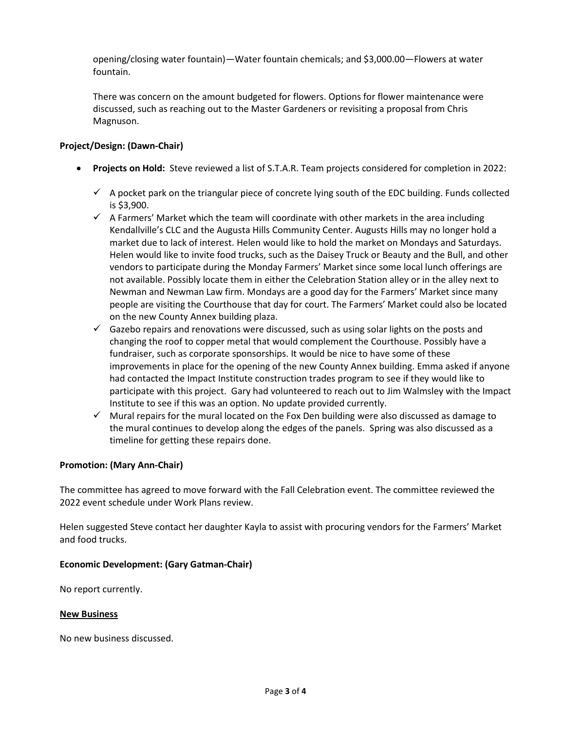opening/closing water fountain)—Water fountain chemicals; and \$3,000.00—Flowers at water fountain.

There was concern on the amount budgeted for flowers. Options for flower maintenance were discussed, such as reaching out to the Master Gardeners or revisiting a proposal from Chris Magnuson.

# **Project/Design: (Dawn-Chair)**

- **Projects on Hold:** Steve reviewed a list of S.T.A.R. Team projects considered for completion in 2022:
	- $\checkmark$  A pocket park on the triangular piece of concrete lying south of the EDC building. Funds collected is \$3,900.
	- $\checkmark$  A Farmers' Market which the team will coordinate with other markets in the area including Kendallville's CLC and the Augusta Hills Community Center. Augusts Hills may no longer hold a market due to lack of interest. Helen would like to hold the market on Mondays and Saturdays. Helen would like to invite food trucks, such as the Daisey Truck or Beauty and the Bull, and other vendors to participate during the Monday Farmers' Market since some local lunch offerings are not available. Possibly locate them in either the Celebration Station alley or in the alley next to Newman and Newman Law firm. Mondays are a good day for the Farmers' Market since many people are visiting the Courthouse that day for court. The Farmers' Market could also be located on the new County Annex building plaza.
	- $\checkmark$  Gazebo repairs and renovations were discussed, such as using solar lights on the posts and changing the roof to copper metal that would complement the Courthouse. Possibly have a fundraiser, such as corporate sponsorships. It would be nice to have some of these improvements in place for the opening of the new County Annex building. Emma asked if anyone had contacted the Impact Institute construction trades program to see if they would like to participate with this project. Gary had volunteered to reach out to Jim Walmsley with the Impact Institute to see if this was an option. No update provided currently.
	- $\checkmark$  Mural repairs for the mural located on the Fox Den building were also discussed as damage to the mural continues to develop along the edges of the panels. Spring was also discussed as a timeline for getting these repairs done.

## **Promotion: (Mary Ann-Chair)**

The committee has agreed to move forward with the Fall Celebration event. The committee reviewed the 2022 event schedule under Work Plans review.

Helen suggested Steve contact her daughter Kayla to assist with procuring vendors for the Farmers' Market and food trucks.

## **Economic Development: (Gary Gatman-Chair)**

No report currently.

#### **New Business**

No new business discussed.